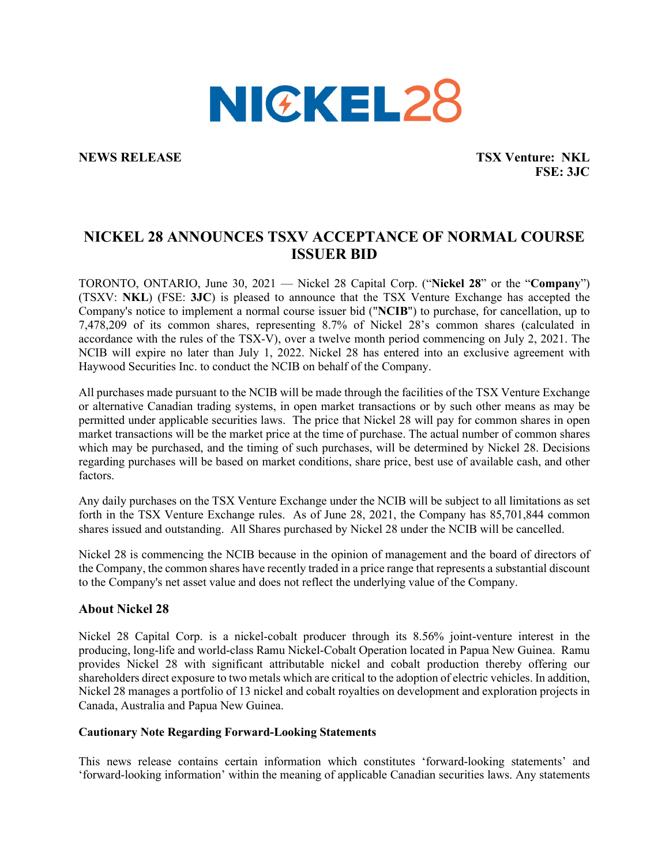

**NEWS RELEASE TSX Venture: NKL FSE: 3JC**

## **NICKEL 28 ANNOUNCES TSXV ACCEPTANCE OF NORMAL COURSE ISSUER BID**

TORONTO, ONTARIO, June 30, 2021 — Nickel 28 Capital Corp. ("**Nickel 28**" or the "**Company**") (TSXV: **NKL**) (FSE: **3JC**) is pleased to announce that the TSX Venture Exchange has accepted the Company's notice to implement a normal course issuer bid ("**NCIB**") to purchase, for cancellation, up to 7,478,209 of its common shares, representing 8.7% of Nickel 28's common shares (calculated in accordance with the rules of the TSX-V), over a twelve month period commencing on July 2, 2021. The NCIB will expire no later than July 1, 2022. Nickel 28 has entered into an exclusive agreement with Haywood Securities Inc. to conduct the NCIB on behalf of the Company.

All purchases made pursuant to the NCIB will be made through the facilities of the TSX Venture Exchange or alternative Canadian trading systems, in open market transactions or by such other means as may be permitted under applicable securities laws. The price that Nickel 28 will pay for common shares in open market transactions will be the market price at the time of purchase. The actual number of common shares which may be purchased, and the timing of such purchases, will be determined by Nickel 28. Decisions regarding purchases will be based on market conditions, share price, best use of available cash, and other factors.

Any daily purchases on the TSX Venture Exchange under the NCIB will be subject to all limitations as set forth in the TSX Venture Exchange rules. As of June 28, 2021, the Company has 85,701,844 common shares issued and outstanding. All Shares purchased by Nickel 28 under the NCIB will be cancelled.

Nickel 28 is commencing the NCIB because in the opinion of management and the board of directors of the Company, the common shares have recently traded in a price range that represents a substantial discount to the Company's net asset value and does not reflect the underlying value of the Company.

## **About Nickel 28**

Nickel 28 Capital Corp. is a nickel-cobalt producer through its 8.56% joint-venture interest in the producing, long-life and world-class Ramu Nickel-Cobalt Operation located in Papua New Guinea. Ramu provides Nickel 28 with significant attributable nickel and cobalt production thereby offering our shareholders direct exposure to two metals which are critical to the adoption of electric vehicles. In addition, Nickel 28 manages a portfolio of 13 nickel and cobalt royalties on development and exploration projects in Canada, Australia and Papua New Guinea.

## **Cautionary Note Regarding Forward-Looking Statements**

This news release contains certain information which constitutes 'forward-looking statements' and 'forward-looking information' within the meaning of applicable Canadian securities laws. Any statements